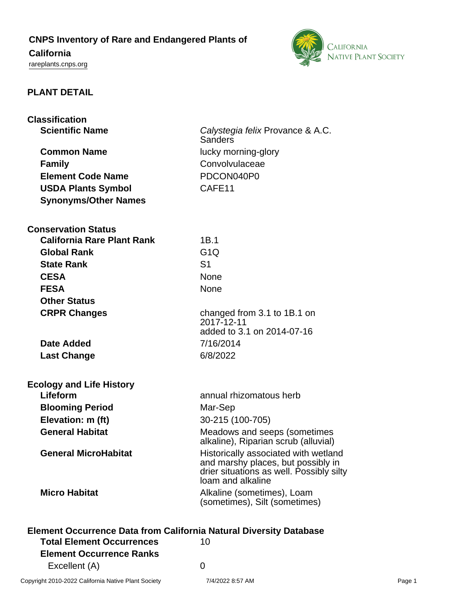## **CNPS Inventory of Rare and Endangered Plants of**

# **California**

<rareplants.cnps.org>



### **PLANT DETAIL**

| <b>Classification</b><br><b>Scientific Name</b> | Calystegia felix Provance & A.C.                                                                                                            |
|-------------------------------------------------|---------------------------------------------------------------------------------------------------------------------------------------------|
|                                                 | Sanders                                                                                                                                     |
| <b>Common Name</b>                              | lucky morning-glory                                                                                                                         |
| <b>Family</b>                                   | Convolvulaceae                                                                                                                              |
| <b>Element Code Name</b>                        | PDCON040P0                                                                                                                                  |
| <b>USDA Plants Symbol</b>                       | CAFE11                                                                                                                                      |
| <b>Synonyms/Other Names</b>                     |                                                                                                                                             |
| <b>Conservation Status</b>                      |                                                                                                                                             |
| <b>California Rare Plant Rank</b>               | 1B.1                                                                                                                                        |
| <b>Global Rank</b>                              | G1Q                                                                                                                                         |
| <b>State Rank</b>                               | S <sub>1</sub>                                                                                                                              |
| <b>CESA</b>                                     | None                                                                                                                                        |
| <b>FESA</b>                                     | None                                                                                                                                        |
| <b>Other Status</b>                             |                                                                                                                                             |
| <b>CRPR Changes</b>                             | changed from 3.1 to 1B.1 on<br>2017-12-11<br>added to 3.1 on 2014-07-16                                                                     |
| <b>Date Added</b>                               | 7/16/2014                                                                                                                                   |
| <b>Last Change</b>                              | 6/8/2022                                                                                                                                    |
| <b>Ecology and Life History</b>                 |                                                                                                                                             |
| Lifeform                                        | annual rhizomatous herb                                                                                                                     |
| <b>Blooming Period</b>                          | Mar-Sep                                                                                                                                     |
| Elevation: m (ft)                               | 30-215 (100-705)                                                                                                                            |
| <b>General Habitat</b>                          | Meadows and seeps (sometimes<br>alkaline), Riparian scrub (alluvial)                                                                        |
| <b>General MicroHabitat</b>                     | Historically associated with wetland<br>and marshy places, but possibly in<br>drier situations as well. Possibly silty<br>loam and alkaline |
| <b>Micro Habitat</b>                            | Alkaline (sometimes), Loam<br>(sometimes), Silt (sometimes)                                                                                 |

# **Element Occurrence Data from California Natural Diversity Database Total Element Occurrences** 10 **Element Occurrence Ranks** Excellent (A) 0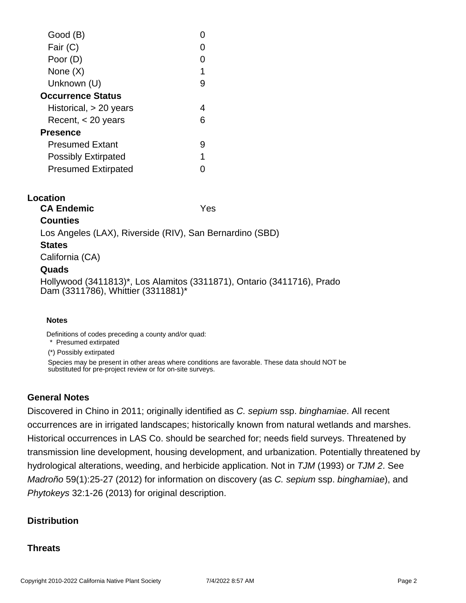| Good (B)                   |    |
|----------------------------|----|
| Fair (C)                   |    |
| Poor (D)                   |    |
| None (X)                   | 1  |
| Unknown (U)                |    |
| <b>Occurrence Status</b>   |    |
| Historical, > 20 years     |    |
| Recent, $<$ 20 years       | ิค |
| Presence                   |    |
| <b>Presumed Extant</b>     | 9  |
| <b>Possibly Extirpated</b> | 1  |
| <b>Presumed Extirpated</b> |    |
|                            |    |

### **Location**

**CA Endemic** Yes

**Counties**

Los Angeles (LAX), Riverside (RIV), San Bernardino (SBD)

### **States**

California (CA)

### **Quads**

Hollywood (3411813)\*, Los Alamitos (3311871), Ontario (3411716), Prado Dam (3311786), Whittier (3311881)\*

#### **Notes**

Definitions of codes preceding a county and/or quad:

\* Presumed extirpated

(\*) Possibly extirpated

Species may be present in other areas where conditions are favorable. These data should NOT be substituted for pre-project review or for on-site surveys.

# **General Notes**

Discovered in Chino in 2011; originally identified as C. sepium ssp. binghamiae. All recent occurrences are in irrigated landscapes; historically known from natural wetlands and marshes. Historical occurrences in LAS Co. should be searched for; needs field surveys. Threatened by transmission line development, housing development, and urbanization. Potentially threatened by hydrological alterations, weeding, and herbicide application. Not in TJM (1993) or TJM 2. See Madroño 59(1):25-27 (2012) for information on discovery (as C. sepium ssp. binghamiae), and Phytokeys 32:1-26 (2013) for original description.

# **Distribution**

### **Threats**